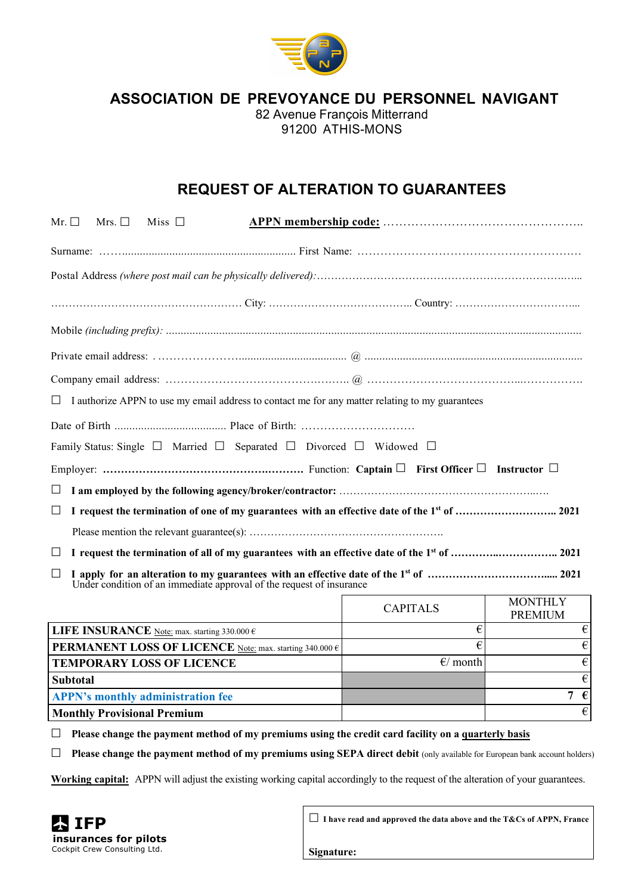

**ASSOCIATION DE PREVOYANCE DU PERSONNEL NAVIGANT**

82 Avenue François Mitterrand 91200 ATHIS-MONS

## **REQUEST OF ALTERATION TO GUARANTEES**

| Mr. $\Box$                                                                                           | Mrs. $\Box$ | Miss $\Box$                                           |                                                                                             |                       |                                  |  |  |
|------------------------------------------------------------------------------------------------------|-------------|-------------------------------------------------------|---------------------------------------------------------------------------------------------|-----------------------|----------------------------------|--|--|
|                                                                                                      |             |                                                       |                                                                                             |                       |                                  |  |  |
|                                                                                                      |             |                                                       |                                                                                             |                       |                                  |  |  |
|                                                                                                      |             |                                                       |                                                                                             |                       |                                  |  |  |
|                                                                                                      |             |                                                       |                                                                                             |                       |                                  |  |  |
|                                                                                                      |             |                                                       |                                                                                             |                       |                                  |  |  |
|                                                                                                      |             |                                                       |                                                                                             |                       |                                  |  |  |
| I authorize APPN to use my email address to contact me for any matter relating to my guarantees<br>Ш |             |                                                       |                                                                                             |                       |                                  |  |  |
|                                                                                                      |             |                                                       |                                                                                             |                       |                                  |  |  |
|                                                                                                      |             |                                                       | Family Status: Single $\Box$ Married $\Box$ Separated $\Box$ Divorced $\Box$ Widowed $\Box$ |                       |                                  |  |  |
|                                                                                                      |             |                                                       |                                                                                             |                       |                                  |  |  |
| ⊔                                                                                                    |             |                                                       |                                                                                             |                       |                                  |  |  |
| $\Box$                                                                                               |             |                                                       |                                                                                             |                       |                                  |  |  |
|                                                                                                      |             |                                                       |                                                                                             |                       |                                  |  |  |
| $\Box$                                                                                               |             |                                                       |                                                                                             |                       |                                  |  |  |
| $\Box$<br>Under condition of an immediate approval of the request of insurance                       |             |                                                       |                                                                                             |                       |                                  |  |  |
|                                                                                                      |             |                                                       |                                                                                             | <b>CAPITALS</b>       | <b>MONTHLY</b><br><b>PREMIUM</b> |  |  |
|                                                                                                      |             | LIFE INSURANCE Note: max. starting 330.000 $\epsilon$ |                                                                                             | €                     | €                                |  |  |
| PERMANENT LOSS OF LICENCE Note: max. starting 340.000 €                                              |             |                                                       |                                                                                             | $\overline{\epsilon}$ | €                                |  |  |
|                                                                                                      |             | <b>TEMPORARY LOSS OF LICENCE</b>                      |                                                                                             | E/month               | €                                |  |  |
| <b>Subtotal</b>                                                                                      |             |                                                       |                                                                                             |                       |                                  |  |  |
|                                                                                                      |             | <b>APPN's monthly administration fee</b>              |                                                                                             |                       | 7 $\epsilon$                     |  |  |

**Monthly Provisional Premium** ← <del>€</del>

☐ **Please change the payment method of my premiums using the credit card facility on a quarterly basis**

☐ **Please change the payment method of my premiums using SEPA direct debit** (only available for European bank account holders)

**Working capital:** APPN will adjust the existing working capital accordingly to the request of the alteration of your guarantees.



☐ **I have read and approved the data above and the T&Cs of APPN, France**

**Signature:**